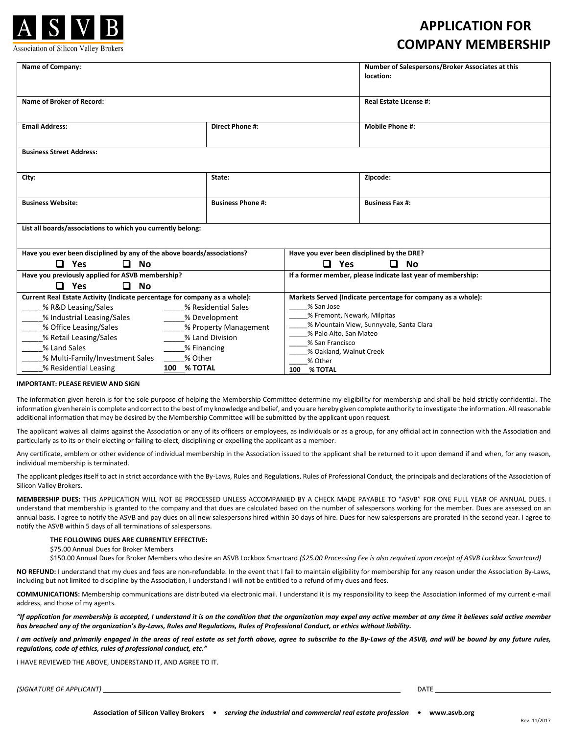

#### Association of Silicon Valley Brokers

## **APPLICATION FOR COMPANY MEMBERSHIP**

| Name of Company:                                                           |                          |                                                                   | Number of Salespersons/Broker Associates at this<br>location: |  |
|----------------------------------------------------------------------------|--------------------------|-------------------------------------------------------------------|---------------------------------------------------------------|--|
| Name of Broker of Record:                                                  |                          |                                                                   | Real Estate License #:                                        |  |
| <b>Email Address:</b>                                                      | <b>Direct Phone #:</b>   |                                                                   | <b>Mobile Phone #:</b>                                        |  |
| <b>Business Street Address:</b>                                            |                          |                                                                   |                                                               |  |
| City:                                                                      | State:                   |                                                                   | Zipcode:                                                      |  |
| <b>Business Website:</b>                                                   | <b>Business Phone #:</b> |                                                                   | <b>Business Fax #:</b>                                        |  |
| List all boards/associations to which you currently belong:                |                          |                                                                   |                                                               |  |
| Have you ever been disciplined by any of the above boards/associations?    |                          | Have you ever been disciplined by the DRE?                        |                                                               |  |
| ◻<br>Yes<br>0<br><b>No</b>                                                 |                          | <b>Yes</b><br>◻                                                   | ◻<br><b>No</b>                                                |  |
| Have you previously applied for ASVB membership?                           |                          |                                                                   | If a former member, please indicate last year of membership:  |  |
| ◘<br><b>No</b><br>n<br>Yes                                                 |                          |                                                                   |                                                               |  |
| Current Real Estate Activity (Indicate percentage for company as a whole): |                          |                                                                   | Markets Served (Indicate percentage for company as a whole):  |  |
| % R&D Leasing/Sales<br>% Residential Sales                                 |                          | % San Jose                                                        |                                                               |  |
| % Industrial Leasing/Sales<br>% Development                                |                          | % Fremont, Newark, Milpitas                                       |                                                               |  |
| % Office Leasing/Sales<br>% Property Management                            |                          | % Mountain View, Sunnyvale, Santa Clara<br>% Palo Alto, San Mateo |                                                               |  |
| % Retail Leasing/Sales<br>% Land Division                                  |                          | % San Francisco                                                   |                                                               |  |
| % Land Sales<br>% Financing                                                |                          | % Oakland, Walnut Creek                                           |                                                               |  |
| % Other<br>% Multi-Family/Investment Sales                                 |                          | % Other                                                           |                                                               |  |
| % Residential Leasing<br><b>100 % TOTAL</b>                                |                          | 100 % TOTAL                                                       |                                                               |  |

#### **IMPORTANT: PLEASE REVIEW AND SIGN**

The information given herein is for the sole purpose of helping the Membership Committee determine my eligibility for membership and shall be held strictly confidential. The information given herein is complete and correct to the best of my knowledge and belief, and you are hereby given complete authority to investigate the information. All reasonable additional information that may be desired by the Membership Committee will be submitted by the applicant upon request.

The applicant waives all claims against the Association or any of its officers or employees, as individuals or as a group, for any official act in connection with the Association and particularly as to its or their electing or failing to elect, disciplining or expelling the applicant as a member.

Any certificate, emblem or other evidence of individual membership in the Association issued to the applicant shall be returned to it upon demand if and when, for any reason, individual membership is terminated.

The applicant pledges itself to act in strict accordance with the By-Laws, Rules and Regulations, Rules of Professional Conduct, the principals and declarations of the Association of Silicon Valley Brokers.

**MEMBERSHIP DUES:** THIS APPLICATION WILL NOT BE PROCESSED UNLESS ACCOMPANIED BY A CHECK MADE PAYABLE TO "ASVB" FOR ONE FULL YEAR OF ANNUAL DUES. I understand that membership is granted to the company and that dues are calculated based on the number of salespersons working for the member. Dues are assessed on an annual basis. I agree to notify the ASVB and pay dues on all new salespersons hired within 30 days of hire. Dues for new salespersons are prorated in the second year. I agree to notify the ASVB within 5 days of all terminations of salespersons.

### **THE FOLLOWING DUES ARE CURRENTLY EFFECTIVE:**

\$75.00 Annual Dues for Broker Members

\$150.00 Annual Dues for Broker Members who desire an ASVB Lockbox Smartcard *(\$25.00 Processing Fee is also required upon receipt of ASVB Lockbox Smartcard)*

**NO REFUND:** I understand that my dues and fees are non-refundable. In the event that I fail to maintain eligibility for membership for any reason under the Association By-Laws, including but not limited to discipline by the Association, I understand I will not be entitled to a refund of my dues and fees.

**COMMUNICATIONS:** Membership communications are distributed via electronic mail. I understand it is my responsibility to keep the Association informed of my current e-mail address, and those of my agents.

*"If application for membership is accepted, I understand it is on the condition that the organization may expel any active member at any time it believes said active member has breached any of the organization's By-Laws, Rules and Regulations, Rules of Professional Conduct, or ethics without liability.*

*I am actively and primarily engaged in the areas of real estate as set forth above, agree to subscribe to the By-Laws of the ASVB, and will be bound by any future rules, regulations, code of ethics, rules of professional conduct, etc."*

I HAVE REVIEWED THE ABOVE, UNDERSTAND IT, AND AGREE TO IT.

*(SIGNATURE OF APPLICANT)* DATE